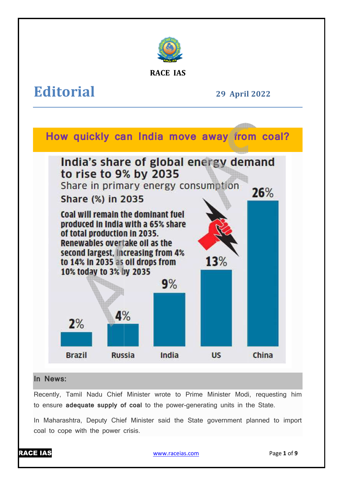

**RACE IAS**

# **Editorial**

**29 April April 2022** 



## **In News:**

Recently, Tamil Nadu Chief Minister wrote to Prime Minister Modi, requesting him to ensure **adequate supply of coal** to the power-generating units in the State.

In Maharashtra, Deputy Chief Minister said the State government planned to import coal to cope with the power crisis.



www.raceias.com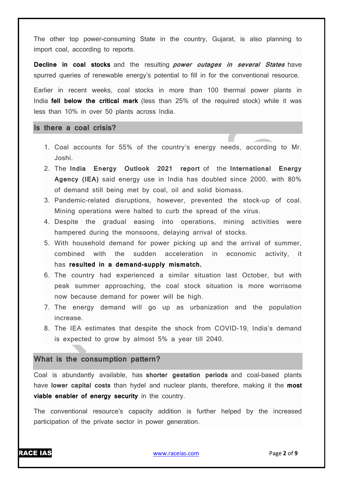The other top power-consuming State in the country, Gujarat, is also planning to import coal, according to reports.

**Decline in coal stocks** and the resulting **power outages in several States** have spurred queries of renewable energy's potential to fill in for the conventional resource.

Earlier in recent weeks, coal stocks in more than 100 thermal power plants in India **fell below the critical mark** (less than 25% of the required stock) while it was less than 10% in over 50 plants across India.

**Is there a coal crisis?**

- 1. Coal accounts for 55% of the country's energy needs, according to Mr. Joshi.
- 2. The **India Energy Outlook 2021 report** of the **International Energy Agency (IEA)** said energy use in India has doubled since 2000, with 80% of demand still being met by coal, oil and solid biomass.
- 3. Pandemic-related disruptions, however, prevented the stock-up of coal. Mining operations were halted to curb the spread of the virus.
- 4. Despite the gradual easing into operations, mining activities were hampered during the monsoons, delaying arrival of stocks.
- 5. With household demand for power picking up and the arrival of summer, combined with the sudden acceleration in economic activity, it has **resulted in a demand-supply mismatch.**
- 6. The country had experienced a similar situation last October, but with peak summer approaching, the coal stock situation is more worrisome now because demand for power will be high.
- 7. The energy demand will go up as urbanization and the population increase.
- 8. The IEA estimates that despite the shock from COVID-19, India's demand is expected to grow by almost 5% a year till 2040.

#### **What is the consumption pattern?**

Coal is abundantly available, has **shorter gestation periods** and coal-based plants have **lower capital costs** than hydel and nuclear plants, therefore, making it the **most viable enabler of energy security** in the country.

The conventional resource's capacity addition is further helped by the increased participation of the private sector in power generation.



 $\begin{picture}(20,20) \put(0,0){\line(1,0){10}} \put(10,0){\line(1,0){10}} \put(10,0){\line(1,0){10}} \put(10,0){\line(1,0){10}} \put(10,0){\line(1,0){10}} \put(10,0){\line(1,0){10}} \put(10,0){\line(1,0){10}} \put(10,0){\line(1,0){10}} \put(10,0){\line(1,0){10}} \put(10,0){\line(1,0){10}} \put(10,0){\line(1,0){10}} \put(10,0){\line(1$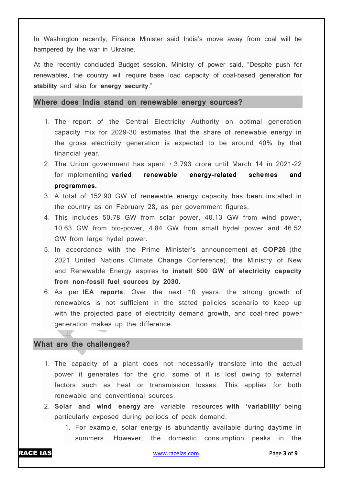In Washington recently, Finance Minister said India's move away from coal will be hampered by the war in Ukraine.

At the recently concluded Budget session, Ministry of power said, "Despite push for renewables, the country will require base load capacity of coal-based generation **for stability** and also for **energy security**."

**Where does India stand on renewable energy sources?**

- 1. The report of the Central Electricity Authority on optimal generation capacity mix for 2029-30 estimates that the share of renewable energy in the gross electricity generation is expected to be around 40% by that financial year.
- 2. The Union government has spent  $\cdot$  3,793 crore until March 14 in 2021-22 for implementing **varied renewable energy-related schemes and programmes.**
- 3. A total of 152.90 GW of renewable energy capacity has been installed in the country as on February 28, as per government figures.
- 4. This includes 50.78 GW from solar power, 40.13 GW from wind power, 10.63 GW from bio-power, 4.84 GW from small hydel power and 46.52 GW from large hydel power.
- 5. In accordance with the Prime Minister's announcement **at COP26** (the 2021 United Nations Climate Change Conference), the Ministry of New and Renewable Energy aspires **to install 500 GW of electricity capacity from non-fossil fuel sources by 2030.**
- 6. As per **IEA reports**, Over the next 10 years, the strong growth of renewables is not sufficient in the stated policies scenario to keep up with the projected pace of electricity demand growth, and coal-fired power generation makes up the difference.

#### **What are the challenges?**

- 1. The capacity of a plant does not necessarily translate into the actual power it generates for the grid, some of it is lost owing to external factors such as heat or transmission losses. This applies for both renewable and conventional sources.
- 2. **Solar and wind energy** are variable resources **with 'variability'** being particularly exposed during periods of peak demand.
	- 1. For example, solar energy is abundantly available during daytime in summers. However, the domestic consumption peaks in the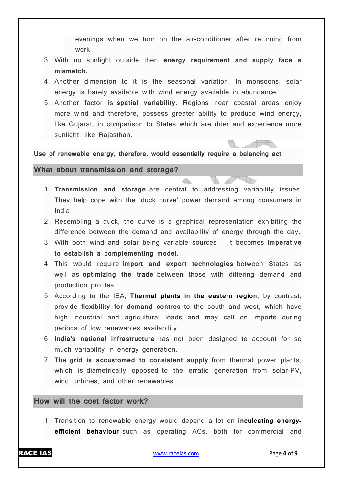evenings when we turn on the air-conditioner after returning from work.

- 3. With no sunlight outside then, **energy requirement and supply face a mismatch.**
- 4. Another dimension to it is the seasonal variation. In monsoons, solar energy is barely available with wind energy available in abundance.
- 5. Another factor is **spatial variability**. Regions near coastal areas enjoy more wind and therefore, possess greater ability to produce wind energy, like Gujarat, in comparison to States which are drier and experience more sunlight, like Rajasthan.

**Use of renewable energy, therefore, would essentially require a balancing act.**

**What about transmission and storage?**

- 1. **Transmission and storage** are central to addressing variability issues. They help cope with the 'duck curve' power demand among consumers in India.
- 2. Resembling a duck, the curve is a graphical representation exhibiting the difference between the demand and availability of energy through the day.
- 3. With both wind and solar being variable sources it becomes **imperative to establish a complementing model.**
- 4. This would require **import and export technologies** between States as well as **optimizing the trade** between those with differing demand and production profiles.
- 5. According to the IEA, **Thermal plants in the eastern region**, by contrast, provide **flexibility for demand centres** to the south and west, which have high industrial and agricultural loads and may call on imports during periods of low renewables availability.
- 6. **India's national infrastructure** has not been designed to account for so much variability in energy generation.
- 7. The **grid is accustomed to consistent supply** from thermal power plants, which is diametrically opposed to the erratic generation from solar-PV, wind turbines, and other renewables.

## **How will the cost factor work?**

1. Transition to renewable energy would depend a lot on **inculcating energyefficient behaviour** such as operating ACs, both for commercial and

**ALLIA**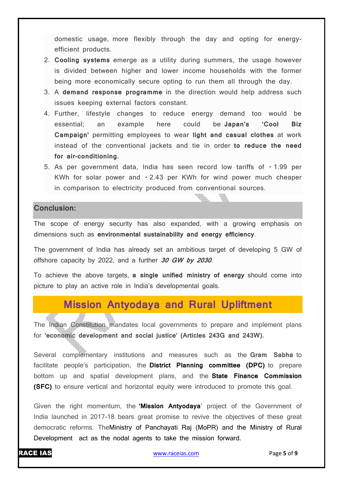domestic usage, more flexibly through the day and opting for energyefficient products.

- 2. **Cooling systems** emerge as a utility during summers, the usage however is divided between higher and lower income households with the former being more economically secure opting to run them all through the day.
- 3. A **demand response programme** in the direction would help address such issues keeping external factors constant.
- 4. Further, lifestyle changes to reduce energy demand too would be essential; an example here could be **Japan's 'Cool Biz Campaign'** permitting employees to wear **light and casual clothes** at work instead of the conventional jackets and tie in order **to reduce the need for air-conditioning.**
- 5. As per government data, India has seen record low tariffs of  $\cdot$  1.99 per KWh for solar power and  $\cdot$  2.43 per KWh for wind power much cheaper in comparison to electricity produced from conventional sources.

U

Vb

#### **Conclusion:**

The scope of energy security has also expanded, with a growing emphasis on dimensions such as **environmental sustainability and energy efficiency**.

The government of India has already set an ambitious target of developing 5 GW of offshore capacity by 2022, and a further **30 GW by 2030**.

To achieve the above targets, **a single unified ministry of energy** should come into picture to play an active role in India's developmental goals.

# **Mission Antyodaya and Rural Upliftment**

The Indian Constitution mandates local governments to prepare and implement plans for **'economic development and social justice' (Articles 243G and 243W).**

Several complementary institutions and measures such as the **Gram Sabha** to facilitate people's participation, the **District Planning committee (DPC)** to prepare bottom up and spatial development plans, and the **State Finance Commission (SFC)** to ensure vertical and horizontal equity were introduced to promote this goal.

Given the right momentum, the **'Mission Antyodaya**' project of the Government of India launched in 2017-18 bears great promise to revive the objectives of these great democratic reforms. TheMinistry of Panchayati Raj (MoPR) and the Ministry of Rural Development act as the nodal agents to take the mission forward.

RACE IAS www.raceias.com Page **5** of **9**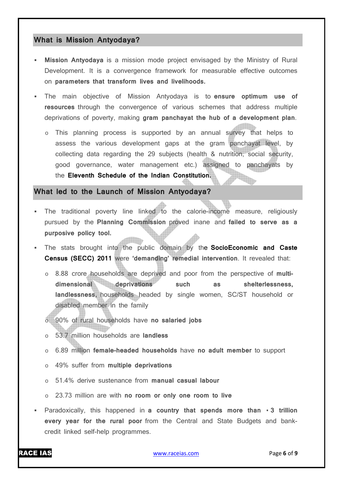#### **What is Mission Antyodaya?**

- **Mission Antyodaya** is a mission mode project envisaged by the Ministry of Rural Development. It is a convergence framework for measurable effective outcomes on **parameters that transform lives and livelihoods.**
- The main objective of Mission Antyodaya is to **ensure optimum use of resources** through the convergence of various schemes that address multiple deprivations of poverty, making **gram panchayat the hub of a development plan**.
	- o This planning process is supported by an annual survey that helps to assess the various development gaps at the gram panchayat level, by collecting data regarding the 29 subjects (health & nutrition, social security, good governance, water management etc.) assigned to panchayats by the **Eleventh Schedule of the Indian Constitution.**

#### **What led to the Launch of Mission Antyodaya?**

- The traditional poverty line linked to the calorie-income measure, religiously pursued by the **Planning Commission** proved inane and **failed to serve as a purposive policy tool.**
- The stats brought into the public domain by the **SocioEconomic and Caste Census (SECC) 2011** were **'demanding' remedial intervention**. It revealed that:
	- o 8.88 crore households are deprived and poor from the perspective of **multidimensional deprivations such as shelterlessness, landlessness,** households headed by single women, SC/ST household or disabled member in the family
	- o 90% of rural households have **no salaried jobs**
	- o 53.7 million households are **landless**
	- o 6.89 million **female-headed households** have **no adult member** to support
	- o 49% suffer from **multiple deprivations**
	- o 51.4% derive sustenance from **manual casual labour**
	- o 23.73 million are with **no room or only one room to live**
- **Paradoxically, this happened in a country that spends more than**  $\cdot$  **3 trillion every year for the rural poor** from the Central and State Budgets and bankcredit linked self-help programmes.

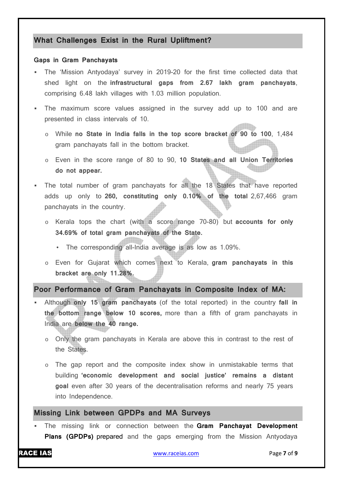#### **What Challenges Exist in the Rural Upliftment?**

#### **Gaps in Gram Panchayats**

- The 'Mission Antyodaya' survey in 2019-20 for the first time collected data that shed light on the **infrastructural gaps from 2.67 lakh gram panchayats**, comprising 6.48 lakh villages with 1.03 million population.
- The maximum score values assigned in the survey add up to 100 and are presented in class intervals of 10.
	- o While **no State in India falls in the top score bracket of 90 to 100**, 1,484 gram panchayats fall in the bottom bracket.
	- o Even in the score range of 80 to 90, **10 States and all Union Territories do not appear.**
- The total number of gram panchayats for all the 18 States that have reported adds up only to **260, constituting only 0.10% of the total** 2,67,466 gram panchayats in the country.
	- o Kerala tops the chart (with a score range 70-80) but **accounts for only 34.69% of total gram panchayats of the State.**
		- The corresponding all-India average is as low as 1.09%.
	- o Even for Gujarat which comes next to Kerala, **gram panchayats in this bracket are only 11.28%.**

**Poor Performance of Gram Panchayats in Composite Index of MA:**

- Although **only 15 gram panchayats** (of the total reported) in the country **fall in the bottom range below 10 scores,** more than a fifth of gram panchayats in India are **below the 40 range.**
	- o Only the gram panchayats in Kerala are above this in contrast to the rest of the States.
	- $\circ$  The gap report and the composite index show in unmistakable terms that building **'economic development and social justice' remains a distant goal** even after 30 years of the decentralisation reforms and nearly 75 years into Independence.

### **Missing Link between GPDPs and MA Surveys**

 The missing link or connection between the **Gram Panchayat Development Plans (GPDPs)** prepared and the gaps emerging from the Mission Antyodaya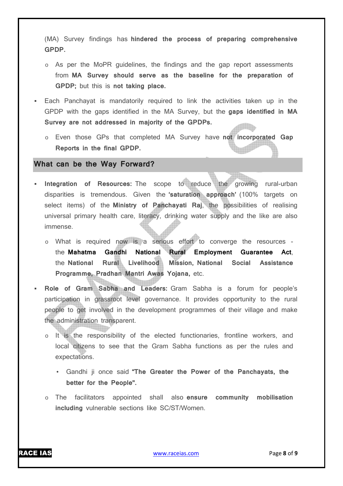(MA) Survey findings has **hindered the process of preparing comprehensive GPDP.**

- o As per the MoPR guidelines, the findings and the gap report assessments from **MA Survey should serve as the baseline for the preparation of GPDP;** but this is **not taking place.**
- Each Panchayat is mandatorily required to link the activities taken up in the GPDP with the gaps identified in the MA Survey, but the **gaps identified in MA Survey are not addressed in majority of the GPDPs.**
	- o Even those GPs that completed MA Survey have **not incorporated Gap Reports in the final GPDP.**

#### **What can be the Way Forward?**

- **Integration of Resources:** The scope to reduce the growing rural-urban disparities is tremendous. Given the **'saturation approach'** (100% targets on select items) of the **Ministry of Panchayati Raj**, the possibilities of realising universal primary health care, literacy, drinking water supply and the like are also immense.
	- o What is required now is a serious effort to converge the resources the **Mahatma Gandhi National Rural Employment Guarantee Act**, the **National Rural Livelihood Mission, National Social Assistance Programme, Pradhan Mantri Awas Yojana,** etc.
- **Role of Gram Sabha and Leaders:** Gram Sabha is a forum for people's participation in grassroot level governance. It provides opportunity to the rural people to get involved in the development programmes of their village and make the administration transparent.
	- o It is the responsibility of the elected functionaries, frontline workers, and local citizens to see that the Gram Sabha functions as per the rules and expectations.
		- Gandhi ji once said **"The Greater the Power of the Panchayats, the better for the People''.**
	- o The facilitators appointed shall also **ensure community mobilisation including** vulnerable sections like SC/ST/Women.